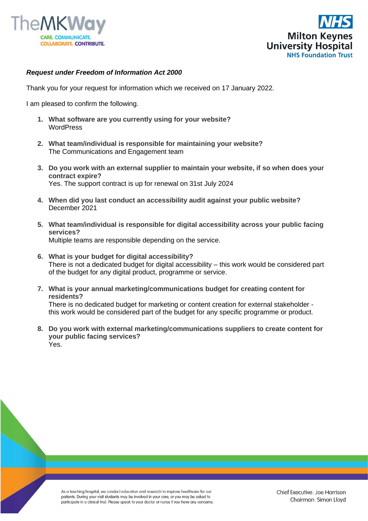



## *Request under Freedom of Information Act 2000*

Thank you for your request for information which we received on 17 January 2022.

I am pleased to confirm the following.

- **1. What software are you currently using for your website? WordPress**
- **2. What team/individual is responsible for maintaining your website?** The Communications and Engagement team
- **3. Do you work with an external supplier to maintain your website, if so when does your contract expire?** Yes. The support contract is up for renewal on 31st July 2024
- **4. When did you last conduct an accessibility audit against your public website?** December 2021
- **5. What team/individual is responsible for digital accessibility across your public facing services?** Multiple teams are responsible depending on the service.
- **6. What is your budget for digital accessibility?** There is not a dedicated budget for digital accessibility – this work would be considered part of the budget for any digital product, programme or service.
- **7. What is your annual marketing/communications budget for creating content for residents?** There is no dedicated budget for marketing or content creation for external stakeholder this work would be considered part of the budget for any specific programme or product.
- **8. Do you work with external marketing/communications suppliers to create content for your public facing services?** Yes.

As a teaching hospital, we conduct education and research to improve healthcare for our patients. During your visit students may be involved in your care, or you may be asked to participate in a clinical trial. Please speak to your doctor or nurse if you have any concerns.